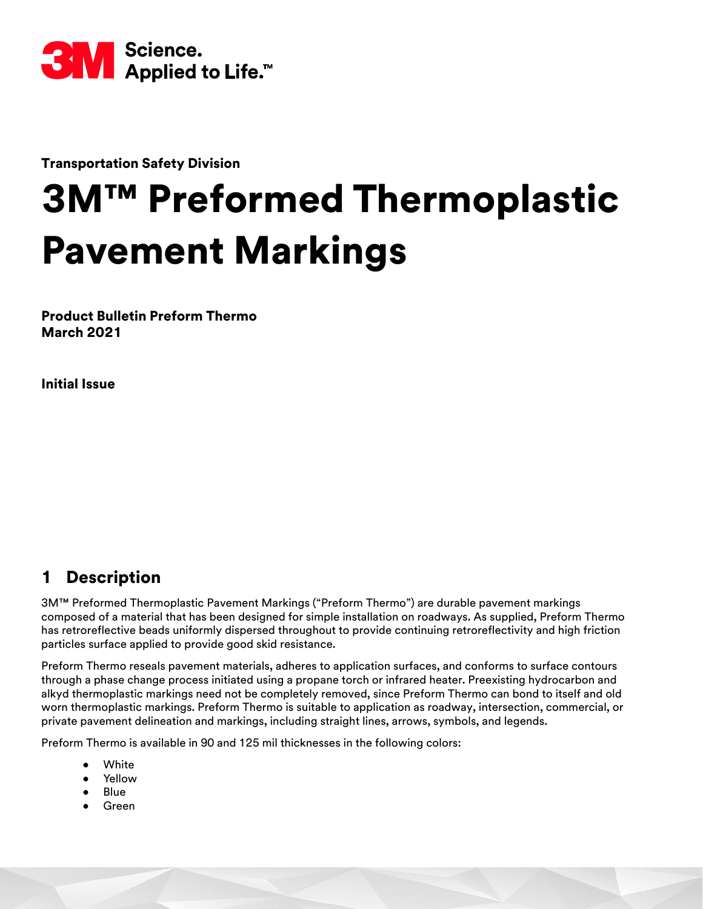

Transportation Safety Division

# 3M™ Preformed Thermoplastic Pavement Markings

Product Bulletin Preform Thermo March 2021

Initial Issue

# 1 Description

3M™ Preformed Thermoplastic Pavement Markings ("Preform Thermo") are durable pavement markings composed of a material that has been designed for simple installation on roadways. As supplied, Preform Thermo has retroreflective beads uniformly dispersed throughout to provide continuing retroreflectivity and high friction particles surface applied to provide good skid resistance.

Preform Thermo reseals pavement materials, adheres to application surfaces, and conforms to surface contours through a phase change process initiated using a propane torch or infrared heater. Preexisting hydrocarbon and alkyd thermoplastic markings need not be completely removed, since Preform Thermo can bond to itself and old worn thermoplastic markings. Preform Thermo is suitable to application as roadway, intersection, commercial, or private pavement delineation and markings, including straight lines, arrows, symbols, and legends.

Preform Thermo is available in 90 and 125 mil thicknesses in the following colors:

- White
- **Yellow**
- Blue
- **Green**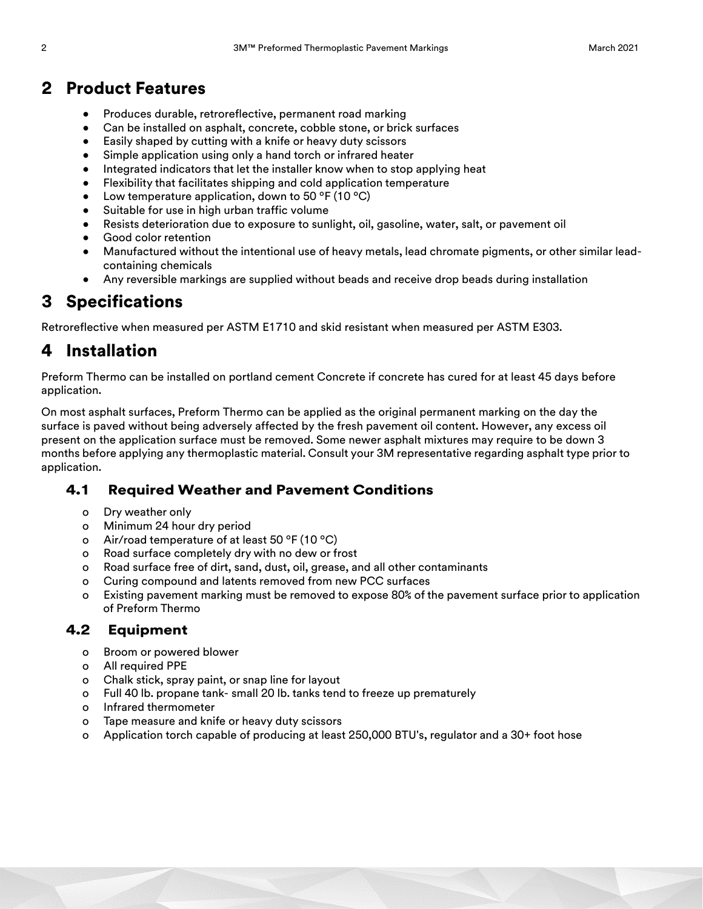### 2 Product Features

- Produces durable, retroreflective, permanent road marking
- Can be installed on asphalt, concrete, cobble stone, or brick surfaces
- Easily shaped by cutting with a knife or heavy duty scissors
- Simple application using only a hand torch or infrared heater
- Integrated indicators that let the installer know when to stop applying heat
- Flexibility that facilitates shipping and cold application temperature
- Low temperature application, down to 50  $\degree$ F (10  $\degree$ C)
- Suitable for use in high urban traffic volume
- Resists deterioration due to exposure to sunlight, oil, gasoline, water, salt, or pavement oil
- Good color retention
- Manufactured without the intentional use of heavy metals, lead chromate pigments, or other similar leadcontaining chemicals
- Any reversible markings are supplied without beads and receive drop beads during installation

## 3 Specifications

Retroreflective when measured per ASTM E1710 and skid resistant when measured per ASTM E303.

# 4 Installation

Preform Thermo can be installed on portland cement Concrete if concrete has cured for at least 45 days before application.

On most asphalt surfaces, Preform Thermo can be applied as the original permanent marking on the day the surface is paved without being adversely affected by the fresh pavement oil content. However, any excess oil present on the application surface must be removed. Some newer asphalt mixtures may require to be down 3 months before applying any thermoplastic material. Consult your 3M representative regarding asphalt type prior to application.

#### 4.1 Required Weather and Pavement Conditions

- o Dry weather only
- o Minimum 24 hour dry period
- o Air/road temperature of at least 50 ºF (10 ºC)
- o Road surface completely dry with no dew or frost
- o Road surface free of dirt, sand, dust, oil, grease, and all other contaminants
- o Curing compound and latents removed from new PCC surfaces
- o Existing pavement marking must be removed to expose 80% of the pavement surface prior to application of Preform Thermo

#### 4.2 Equipment

- o Broom or powered blower
- o All required PPE
- o Chalk stick, spray paint, or snap line for layout
- o Full 40 lb. propane tank- small 20 lb. tanks tend to freeze up prematurely
- o Infrared thermometer
- o Tape measure and knife or heavy duty scissors
- o Application torch capable of producing at least 250,000 BTU's, regulator and a 30+ foot hose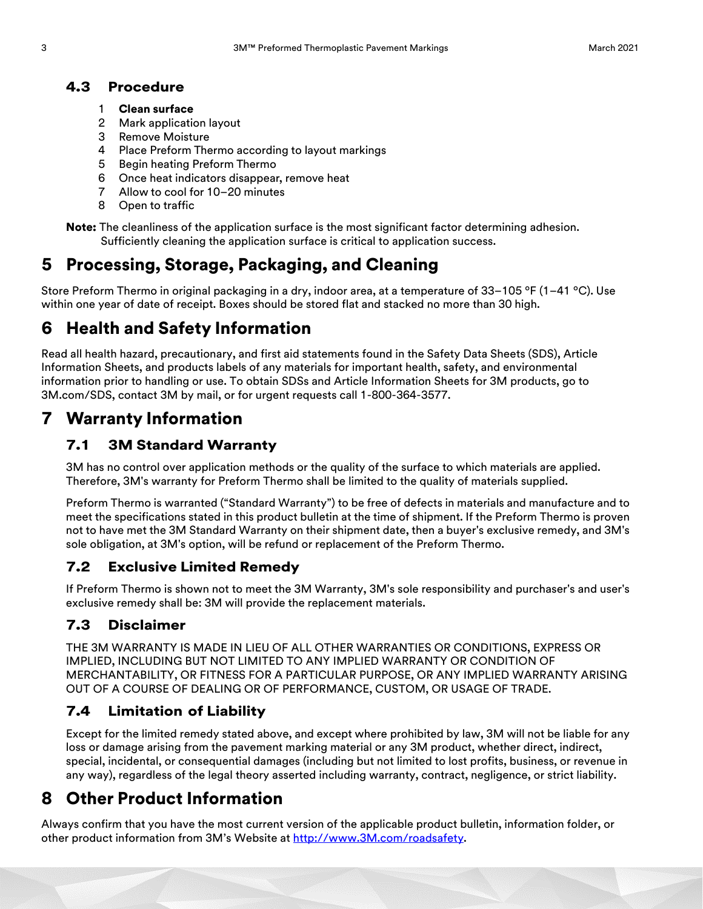#### 4.3 Procedure

- 1 Clean surface
- 2 Mark application layout
- 3 Remove Moisture
- 4 Place Preform Thermo according to layout markings
- 5 Begin heating Preform Thermo
- 6 Once heat indicators disappear, remove heat
- 7 Allow to cool for 10–20 minutes
- 8 Open to traffic

Note: The cleanliness of the application surface is the most significant factor determining adhesion. Sufficiently cleaning the application surface is critical to application success.

# 5 Processing, Storage, Packaging, and Cleaning

Store Preform Thermo in original packaging in a dry, indoor area, at a temperature of 33–105 °F (1–41 °C). Use within one year of date of receipt. Boxes should be stored flat and stacked no more than 30 high.

# 6 Health and Safety Information

Read all health hazard, precautionary, and first aid statements found in the Safety Data Sheets (SDS), Article Information Sheets, and products labels of any materials for important health, safety, and environmental information prior to handling or use. To obtain SDSs and Article Information Sheets for 3M products, go to 3M.com/SDS, contact 3M by mail, or for urgent requests call 1-800-364-3577.

## 7 Warranty Information

#### 7.1 3M Standard Warranty

3M has no control over application methods or the quality of the surface to which materials are applied. Therefore, 3M's warranty for Preform Thermo shall be limited to the quality of materials supplied.

Preform Thermo is warranted ("Standard Warranty") to be free of defects in materials and manufacture and to meet the specifications stated in this product bulletin at the time of shipment. If the Preform Thermo is proven not to have met the 3M Standard Warranty on their shipment date, then a buyer's exclusive remedy, and 3M's sole obligation, at 3M's option, will be refund or replacement of the Preform Thermo.

#### 7.2 Exclusive Limited Remedy

If Preform Thermo is shown not to meet the 3M Warranty, 3M's sole responsibility and purchaser's and user's exclusive remedy shall be: 3M will provide the replacement materials.

#### 7.3 Disclaimer

THE 3M WARRANTY IS MADE IN LIEU OF ALL OTHER WARRANTIES OR CONDITIONS, EXPRESS OR IMPLIED, INCLUDING BUT NOT LIMITED TO ANY IMPLIED WARRANTY OR CONDITION OF MERCHANTABILITY, OR FITNESS FOR A PARTICULAR PURPOSE, OR ANY IMPLIED WARRANTY ARISING OUT OF A COURSE OF DEALING OR OF PERFORMANCE, CUSTOM, OR USAGE OF TRADE.

#### 7.4 Limitation of Liability

Except for the limited remedy stated above, and except where prohibited by law, 3M will not be liable for any loss or damage arising from the pavement marking material or any 3M product, whether direct, indirect, special, incidental, or consequential damages (including but not limited to lost profits, business, or revenue in any way), regardless of the legal theory asserted including warranty, contract, negligence, or strict liability.

## 8 Other Product Information

Always confirm that you have the most current version of the applicable product bulletin, information folder, or other product information from 3M's Website at [http://www.3M.com/roadsafety](http://www.mmm.com/tss).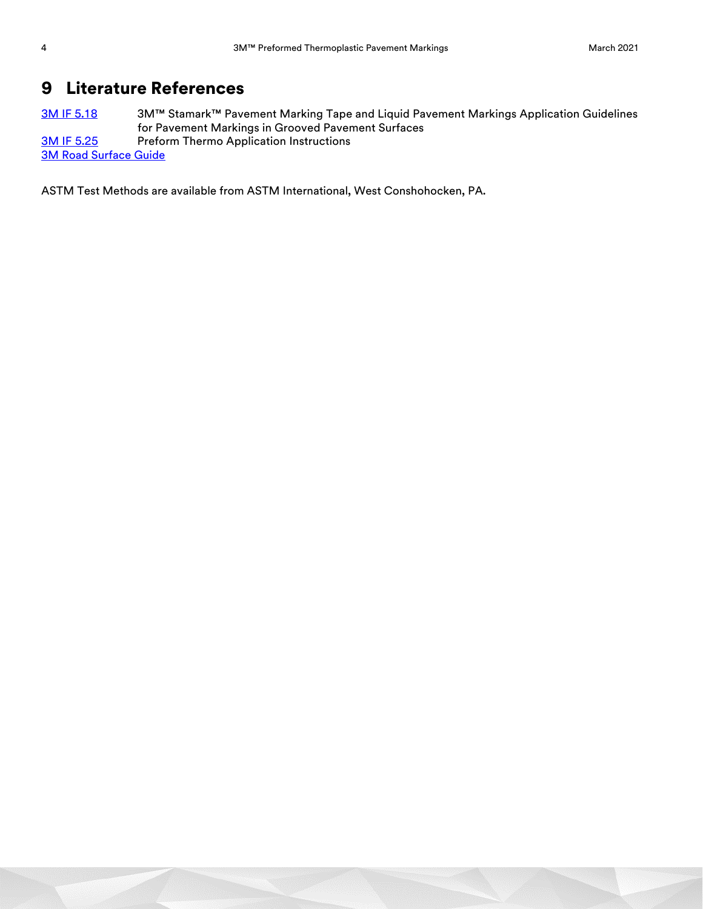## 9 Literature References

3M IF 5.18 3M™ Stamark<sup>™</sup> Pavement Marking Tape and Liquid Pavement Markings Application Guidelines for Pavement Markings in Grooved Pavement Surfaces [3M IF 5.25](http://multimedia.3m.com/mws/media/7386O/if-1-4-inst-for-operation-of-the-interstate-squeeze-applicator.pdf) Preform Thermo Application Instructions [3M Road Surface Guide](http://multimedia.3m.com/mws/media/99528O/stamarktm-road-surface-guide.pdf)

ASTM Test Methods are available from ASTM International, West Conshohocken, PA.